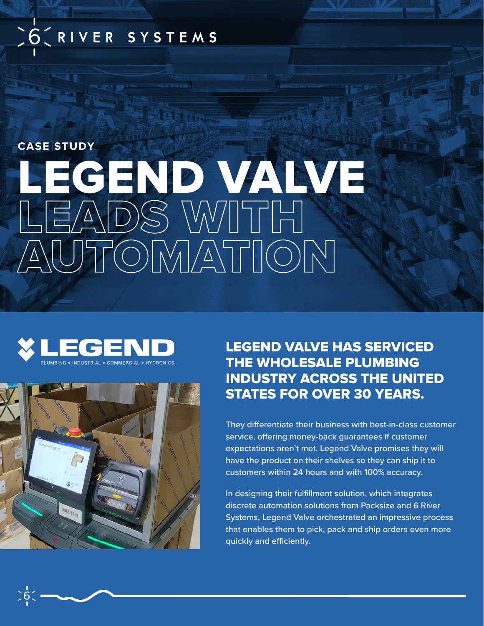# SOCRIVER SYSTEMS

# LEGEND VALVE LEADS WITH AUTOMATION **CASE STUDY**





## LEGEND VALVE HAS SERVICED THE WHOLESALE PLUMBING INDUSTRY ACROSS THE UNITED STATES FOR OVER 30 YEARS.

They differentiate their business with best-in-class customer service, offering money-back guarantees if customer expectations aren't met. Legend Valve promises they will have the product on their shelves so they can ship it to customers within 24 hours and with 100% accuracy.

In designing their fulfillment solution, which integrates discrete automation solutions from Packsize and 6 River Systems, Legend Valve orchestrated an impressive process that enables them to pick, pack and ship orders even more quickly and efficiently.